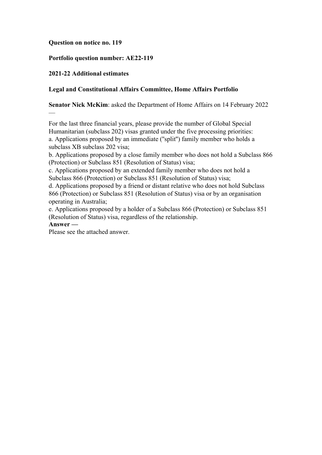### **Question on notice no. 119**

## **Portfolio question number: AE22-119**

## **2021-22 Additional estimates**

### **Legal and Constitutional Affairs Committee, Home Affairs Portfolio**

**Senator Nick McKim**: asked the Department of Home Affairs on 14 February 2022

For the last three financial years, please provide the number of Global Special Humanitarian (subclass 202) visas granted under the five processing priorities: a. Applications proposed by an immediate (''split'') family member who holds a subclass XB subclass 202 visa;

b. Applications proposed by a close family member who does not hold a Subclass 866 (Protection) or Subclass 851 (Resolution of Status) visa;

c. Applications proposed by an extended family member who does not hold a Subclass 866 (Protection) or Subclass 851 (Resolution of Status) visa;

d. Applications proposed by a friend or distant relative who does not hold Subclass 866 (Protection) or Subclass 851 (Resolution of Status) visa or by an organisation operating in Australia;

e. Applications proposed by a holder of a Subclass 866 (Protection) or Subclass 851 (Resolution of Status) visa, regardless of the relationship.

#### **Answer —**

—

Please see the attached answer.